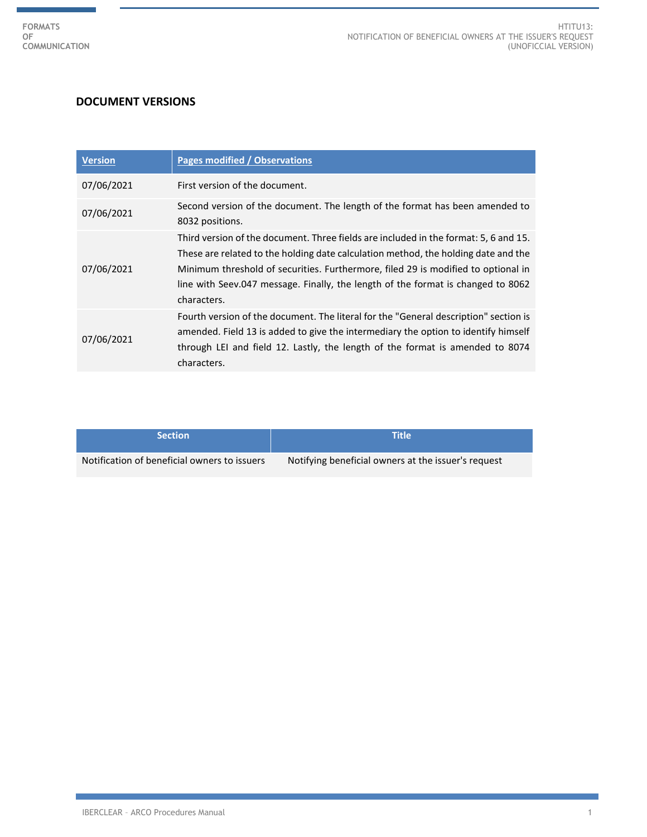r

÷.

## **DOCUMENT VERSIONS**

| <b>Version</b> | <b>Pages modified / Observations</b>                                                                                                                                                                                                                                                                                                                               |
|----------------|--------------------------------------------------------------------------------------------------------------------------------------------------------------------------------------------------------------------------------------------------------------------------------------------------------------------------------------------------------------------|
| 07/06/2021     | First version of the document.                                                                                                                                                                                                                                                                                                                                     |
| 07/06/2021     | Second version of the document. The length of the format has been amended to<br>8032 positions.                                                                                                                                                                                                                                                                    |
| 07/06/2021     | Third version of the document. Three fields are included in the format: 5, 6 and 15.<br>These are related to the holding date calculation method, the holding date and the<br>Minimum threshold of securities. Furthermore, filed 29 is modified to optional in<br>line with Seev.047 message. Finally, the length of the format is changed to 8062<br>characters. |
| 07/06/2021     | Fourth version of the document. The literal for the "General description" section is<br>amended. Field 13 is added to give the intermediary the option to identify himself<br>through LEI and field 12. Lastly, the length of the format is amended to 8074<br>characters.                                                                                         |

| <b>Section</b>                               | 'Title                                              |
|----------------------------------------------|-----------------------------------------------------|
| Notification of beneficial owners to issuers | Notifying beneficial owners at the issuer's request |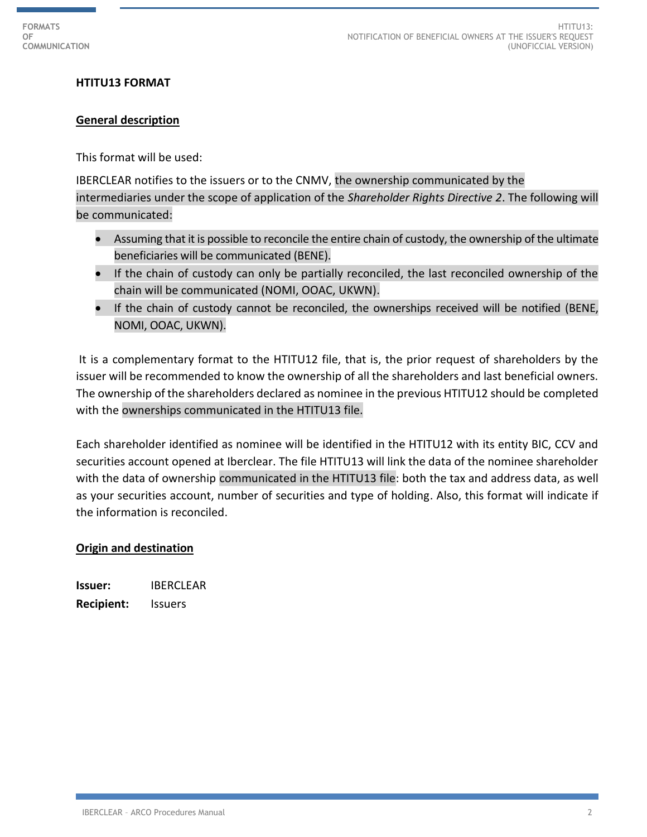## **HTITU13 FORMAT**

#### **General description**

This format will be used:

IBERCLEAR notifies to the issuers or to the CNMV, the ownership communicated by the intermediaries under the scope of application of the *Shareholder Rights Directive 2*. The following will be communicated:

- Assuming that it is possible to reconcile the entire chain of custody, the ownership of the ultimate beneficiaries will be communicated (BENE).
- If the chain of custody can only be partially reconciled, the last reconciled ownership of the chain will be communicated (NOMI, OOAC, UKWN).
- If the chain of custody cannot be reconciled, the ownerships received will be notified (BENE, NOMI, OOAC, UKWN).

It is a complementary format to the HTITU12 file, that is, the prior request of shareholders by the issuer will be recommended to know the ownership of all the shareholders and last beneficial owners. The ownership of the shareholders declared as nominee in the previous HTITU12 should be completed with the ownerships communicated in the HTITU13 file.

Each shareholder identified as nominee will be identified in the HTITU12 with its entity BIC, CCV and securities account opened at Iberclear. The file HTITU13 will link the data of the nominee shareholder with the data of ownership communicated in the HTITU13 file: both the tax and address data, as well as your securities account, number of securities and type of holding. Also, this format will indicate if the information is reconciled.

#### **Origin and destination**

**Issuer:** IBERCLEAR **Recipient:** Issuers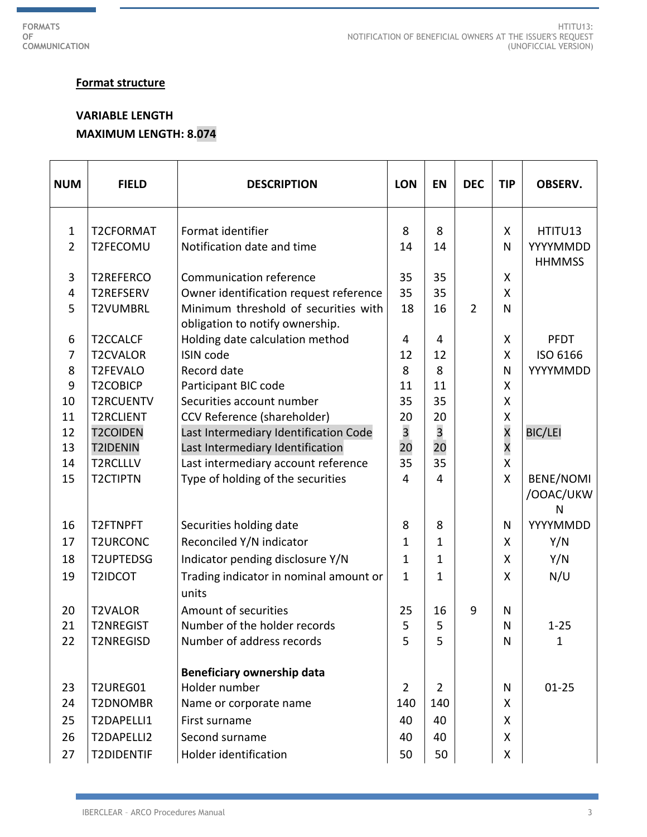Ħ

## **Format structure**

# **VARIABLE LENGTH MAXIMUM LENGTH: 8.074**

| <b>NUM</b>     | <b>FIELD</b>      | <b>DESCRIPTION</b>                                                      | <b>LON</b>              | <b>EN</b>      | <b>DEC</b>     | <b>TIP</b>              | <b>OBSERV.</b>              |
|----------------|-------------------|-------------------------------------------------------------------------|-------------------------|----------------|----------------|-------------------------|-----------------------------|
| $\mathbf{1}$   | <b>T2CFORMAT</b>  | Format identifier                                                       | 8                       | 8              |                | X                       | HTITU13                     |
| $\overline{2}$ | T2FECOMU          | Notification date and time                                              | 14                      | 14             |                | N                       | YYYYMMDD<br><b>HHMMSS</b>   |
| 3              | T2REFERCO         | Communication reference                                                 | 35                      | 35             |                | X                       |                             |
| 4              | T2REFSERV         | Owner identification request reference                                  | 35                      | 35             |                | $\mathsf{X}$            |                             |
| 5              | <b>T2VUMBRL</b>   | Minimum threshold of securities with<br>obligation to notify ownership. | 18                      | 16             | $\overline{2}$ | N                       |                             |
| 6              | T2CCALCF          | Holding date calculation method                                         | 4                       | 4              |                | X                       | <b>PFDT</b>                 |
| $\overline{7}$ | <b>T2CVALOR</b>   | <b>ISIN code</b>                                                        | 12                      | 12             |                | $\mathsf{X}$            | ISO 6166                    |
| 8              | <b>T2FEVALO</b>   | Record date                                                             | 8                       | 8              |                | N                       | YYYYMMDD                    |
| 9              | <b>T2COBICP</b>   | Participant BIC code                                                    | 11                      | 11             |                | X                       |                             |
| 10             | <b>T2RCUENTV</b>  | Securities account number                                               | 35                      | 35             |                | X                       |                             |
| 11             | <b>T2RCLIENT</b>  | CCV Reference (shareholder)                                             | 20                      | 20             |                | Χ                       |                             |
| 12             | <b>T2COIDEN</b>   | Last Intermediary Identification Code                                   | $\overline{\mathbf{3}}$ | 3              |                | $\overline{\mathsf{x}}$ | <b>BIC/LEI</b>              |
| 13             | <b>T2IDENIN</b>   | Last Intermediary Identification                                        | 20                      | 20             |                | $\overline{\mathsf{x}}$ |                             |
| 14             | <b>T2RCLLLV</b>   | Last intermediary account reference                                     | 35                      | 35             |                | $\overline{\mathsf{X}}$ |                             |
| 15             | <b>T2CTIPTN</b>   | Type of holding of the securities                                       | 4                       | 4              |                | $\mathsf{X}$            | BENE/NOMI<br>/OOAC/UKW<br>N |
| 16             | T2FTNPFT          | Securities holding date                                                 | 8                       | 8              |                | N                       | YYYYMMDD                    |
| 17             | <b>T2URCONC</b>   | Reconciled Y/N indicator                                                | 1                       | 1              |                | X                       | Y/N                         |
| 18             | <b>T2UPTEDSG</b>  | Indicator pending disclosure Y/N                                        | $\mathbf{1}$            | 1              |                | X                       | Y/N                         |
| 19             | T2IDCOT           | Trading indicator in nominal amount or<br>units                         | $\mathbf{1}$            | 1              |                | X                       | N/U                         |
| 20             | <b>T2VALOR</b>    | Amount of securities                                                    | 25                      | 16             | 9              | $\mathsf{N}$            |                             |
| 21             | <b>T2NREGIST</b>  | Number of the holder records                                            | 5                       | 5              |                | N                       | $1 - 25$                    |
| 22             | <b>T2NREGISD</b>  | Number of address records                                               | 5                       | 5              |                | N                       | $\mathbf{1}$                |
|                |                   | Beneficiary ownership data                                              |                         |                |                |                         |                             |
| 23             | T2UREG01          | Holder number                                                           | $\overline{2}$          | $\overline{2}$ |                | N                       | $01 - 25$                   |
| 24             | T2DNOMBR          | Name or corporate name                                                  | 140                     | 140            |                | X                       |                             |
| 25             | T2DAPELLI1        | First surname                                                           | 40                      | 40             |                | X                       |                             |
| 26             | T2DAPELLI2        | Second surname                                                          | 40                      | 40             |                | X                       |                             |
| 27             | <b>T2DIDENTIF</b> | Holder identification                                                   | 50                      | 50             |                | X                       |                             |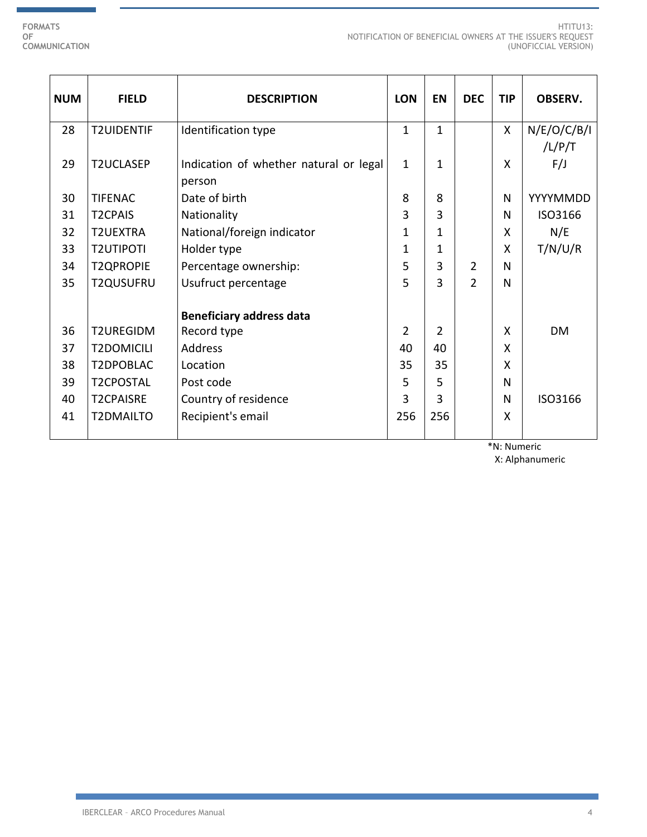÷.

| <b>NUM</b> | <b>FIELD</b>      | <b>DESCRIPTION</b>                               | <b>LON</b>   | <b>EN</b>      | <b>DEC</b>     | <b>TIP</b>   | <b>OBSERV.</b>        |
|------------|-------------------|--------------------------------------------------|--------------|----------------|----------------|--------------|-----------------------|
| 28         | <b>T2UIDENTIF</b> | Identification type                              | $\mathbf{1}$ | $\mathbf{1}$   |                | $\mathsf{X}$ | N/E/O/C/B/I<br>/L/P/T |
| 29         | <b>T2UCLASEP</b>  | Indication of whether natural or legal<br>person | $\mathbf{1}$ | $\mathbf 1$    |                | X            | F/J                   |
| 30         | <b>TIFENAC</b>    | Date of birth                                    | 8            | 8              |                | N            | YYYYMMDD              |
| 31         | <b>T2CPAIS</b>    | Nationality                                      | 3            | 3              |                | N            | ISO3166               |
| 32         | <b>T2UEXTRA</b>   | National/foreign indicator                       | 1            | $\mathbf 1$    |                | X            | N/E                   |
| 33         | <b>T2UTIPOTI</b>  | Holder type                                      | 1            | 1              |                | X            | T/N/U/R               |
| 34         | <b>T2QPROPIE</b>  | Percentage ownership:                            | 5            | 3              | $\overline{2}$ | N            |                       |
| 35         | T2QUSUFRU         | Usufruct percentage                              | 5            | 3              | $\overline{2}$ | N            |                       |
|            |                   | <b>Beneficiary address data</b>                  |              |                |                |              |                       |
| 36         | T2UREGIDM         | Record type                                      | 2            | $\overline{2}$ |                | X            | <b>DM</b>             |
| 37         | <b>T2DOMICILI</b> | <b>Address</b>                                   | 40           | 40             |                | X            |                       |
| 38         | T2DPOBLAC         | Location                                         | 35           | 35             |                | X            |                       |
| 39         | <b>T2CPOSTAL</b>  | Post code                                        | 5            | 5              |                | N            |                       |
| 40         | <b>T2CPAISRE</b>  | Country of residence                             | 3            | 3              |                | N            | ISO3166               |
| 41         | T2DMAILTO         | Recipient's email                                | 256          | 256            |                | X            |                       |

\*N: Numeric

X: Alphanumeric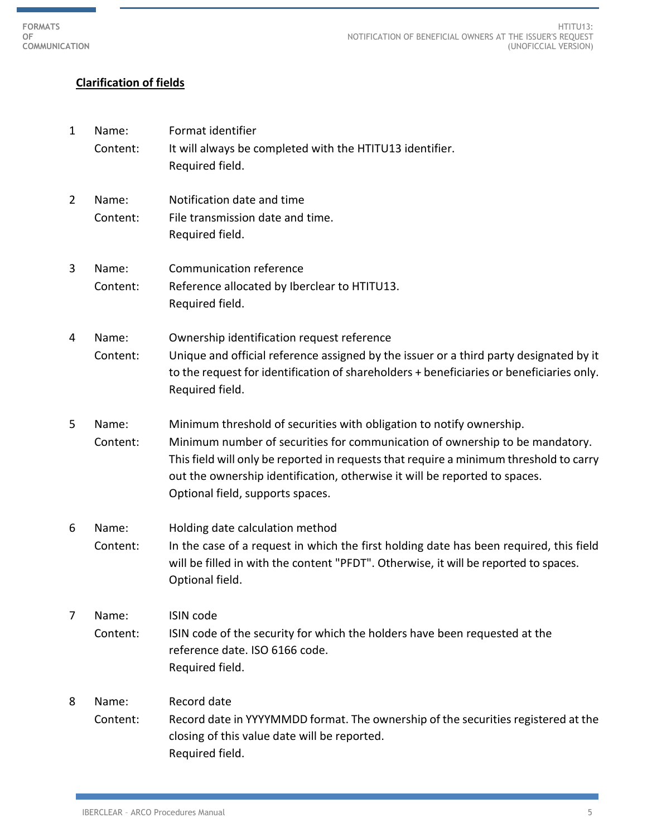# **Clarification of fields**

1 Name: Format identifier Content: It will always be completed with the HTITU13 identifier. Required field. 2 Name: Notification date and time Content: File transmission date and time. Required field. 3 Name: Communication reference Content: Reference allocated by Iberclear to HTITU13. Required field. 4 Name: Ownership identification request reference Content: Unique and official reference assigned by the issuer or a third party designated by it to the request for identification of shareholders + beneficiaries or beneficiaries only. Required field. 5 Name: Minimum threshold of securities with obligation to notify ownership. Content: Minimum number of securities for communication of ownership to be mandatory. This field will only be reported in requests that require a minimum threshold to carry out the ownership identification, otherwise it will be reported to spaces. Optional field, supports spaces. 6 Name: Holding date calculation method Content: In the case of a request in which the first holding date has been required, this field will be filled in with the content "PFDT". Otherwise, it will be reported to spaces. Optional field. 7 Name: ISIN code Content: ISIN code of the security for which the holders have been requested at the reference date. ISO 6166 code. Required field. 8 Name: Record date Content: Record date in YYYYMMDD format. The ownership of the securities registered at the closing of this value date will be reported. Required field.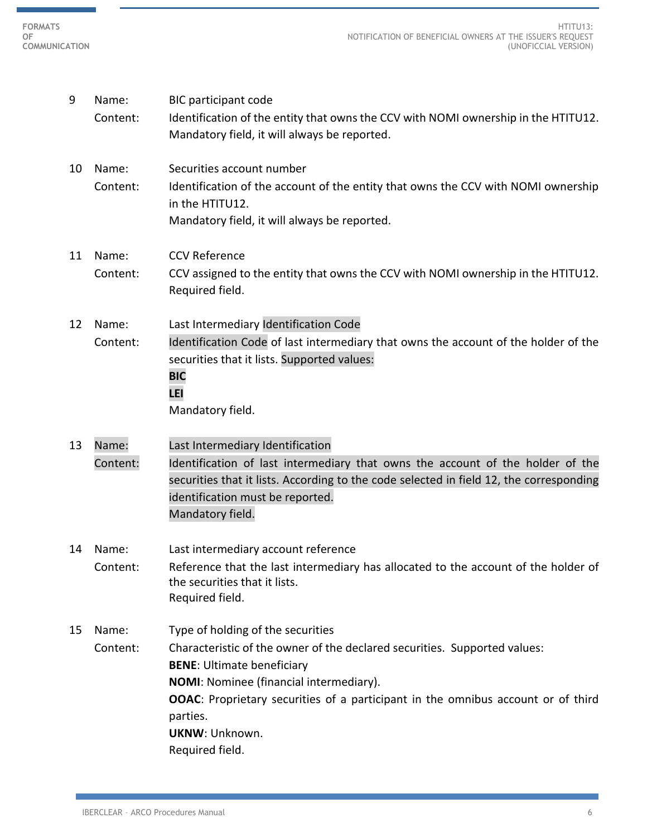г

m.

| Content:<br>Identification of the entity that owns the CCV with NOMI ownership in the HTITU12.<br>Mandatory field, it will always be reported.<br>Name:<br>Securities account number<br>10<br>Content:<br>Identification of the account of the entity that owns the CCV with NOMI ownership<br>in the HTITU12.<br>Mandatory field, it will always be reported.<br><b>CCV Reference</b><br>Name:<br>11<br>Content:<br>CCV assigned to the entity that owns the CCV with NOMI ownership in the HTITU12.<br>Required field.<br>Last Intermediary Identification Code<br>Name:<br>12<br>Identification Code of last intermediary that owns the account of the holder of the<br>Content:<br>securities that it lists. Supported values:<br><b>BIC</b><br>LEI<br>Mandatory field.<br>Name:<br>Last Intermediary Identification<br>13<br>Identification of last intermediary that owns the account of the holder of the<br>Content:<br>securities that it lists. According to the code selected in field 12, the corresponding<br>identification must be reported.<br>Mandatory field.<br>Last intermediary account reference<br>14<br>Name:<br>Reference that the last intermediary has allocated to the account of the holder of<br>Content:<br>the securities that it lists.<br>Required field.<br>Type of holding of the securities<br>Name:<br>15<br>Content:<br>Characteristic of the owner of the declared securities. Supported values:<br><b>BENE: Ultimate beneficiary</b> | 9 | Name: | <b>BIC participant code</b> |
|-------------------------------------------------------------------------------------------------------------------------------------------------------------------------------------------------------------------------------------------------------------------------------------------------------------------------------------------------------------------------------------------------------------------------------------------------------------------------------------------------------------------------------------------------------------------------------------------------------------------------------------------------------------------------------------------------------------------------------------------------------------------------------------------------------------------------------------------------------------------------------------------------------------------------------------------------------------------------------------------------------------------------------------------------------------------------------------------------------------------------------------------------------------------------------------------------------------------------------------------------------------------------------------------------------------------------------------------------------------------------------------------------------------------------------------------------------------------------------|---|-------|-----------------------------|
|                                                                                                                                                                                                                                                                                                                                                                                                                                                                                                                                                                                                                                                                                                                                                                                                                                                                                                                                                                                                                                                                                                                                                                                                                                                                                                                                                                                                                                                                               |   |       |                             |
|                                                                                                                                                                                                                                                                                                                                                                                                                                                                                                                                                                                                                                                                                                                                                                                                                                                                                                                                                                                                                                                                                                                                                                                                                                                                                                                                                                                                                                                                               |   |       |                             |
|                                                                                                                                                                                                                                                                                                                                                                                                                                                                                                                                                                                                                                                                                                                                                                                                                                                                                                                                                                                                                                                                                                                                                                                                                                                                                                                                                                                                                                                                               |   |       |                             |
|                                                                                                                                                                                                                                                                                                                                                                                                                                                                                                                                                                                                                                                                                                                                                                                                                                                                                                                                                                                                                                                                                                                                                                                                                                                                                                                                                                                                                                                                               |   |       |                             |
|                                                                                                                                                                                                                                                                                                                                                                                                                                                                                                                                                                                                                                                                                                                                                                                                                                                                                                                                                                                                                                                                                                                                                                                                                                                                                                                                                                                                                                                                               |   |       |                             |
|                                                                                                                                                                                                                                                                                                                                                                                                                                                                                                                                                                                                                                                                                                                                                                                                                                                                                                                                                                                                                                                                                                                                                                                                                                                                                                                                                                                                                                                                               |   |       |                             |
|                                                                                                                                                                                                                                                                                                                                                                                                                                                                                                                                                                                                                                                                                                                                                                                                                                                                                                                                                                                                                                                                                                                                                                                                                                                                                                                                                                                                                                                                               |   |       |                             |
|                                                                                                                                                                                                                                                                                                                                                                                                                                                                                                                                                                                                                                                                                                                                                                                                                                                                                                                                                                                                                                                                                                                                                                                                                                                                                                                                                                                                                                                                               |   |       |                             |
|                                                                                                                                                                                                                                                                                                                                                                                                                                                                                                                                                                                                                                                                                                                                                                                                                                                                                                                                                                                                                                                                                                                                                                                                                                                                                                                                                                                                                                                                               |   |       |                             |
|                                                                                                                                                                                                                                                                                                                                                                                                                                                                                                                                                                                                                                                                                                                                                                                                                                                                                                                                                                                                                                                                                                                                                                                                                                                                                                                                                                                                                                                                               |   |       |                             |
|                                                                                                                                                                                                                                                                                                                                                                                                                                                                                                                                                                                                                                                                                                                                                                                                                                                                                                                                                                                                                                                                                                                                                                                                                                                                                                                                                                                                                                                                               |   |       |                             |
|                                                                                                                                                                                                                                                                                                                                                                                                                                                                                                                                                                                                                                                                                                                                                                                                                                                                                                                                                                                                                                                                                                                                                                                                                                                                                                                                                                                                                                                                               |   |       |                             |
|                                                                                                                                                                                                                                                                                                                                                                                                                                                                                                                                                                                                                                                                                                                                                                                                                                                                                                                                                                                                                                                                                                                                                                                                                                                                                                                                                                                                                                                                               |   |       |                             |
|                                                                                                                                                                                                                                                                                                                                                                                                                                                                                                                                                                                                                                                                                                                                                                                                                                                                                                                                                                                                                                                                                                                                                                                                                                                                                                                                                                                                                                                                               |   |       |                             |
|                                                                                                                                                                                                                                                                                                                                                                                                                                                                                                                                                                                                                                                                                                                                                                                                                                                                                                                                                                                                                                                                                                                                                                                                                                                                                                                                                                                                                                                                               |   |       |                             |
|                                                                                                                                                                                                                                                                                                                                                                                                                                                                                                                                                                                                                                                                                                                                                                                                                                                                                                                                                                                                                                                                                                                                                                                                                                                                                                                                                                                                                                                                               |   |       |                             |
|                                                                                                                                                                                                                                                                                                                                                                                                                                                                                                                                                                                                                                                                                                                                                                                                                                                                                                                                                                                                                                                                                                                                                                                                                                                                                                                                                                                                                                                                               |   |       |                             |
|                                                                                                                                                                                                                                                                                                                                                                                                                                                                                                                                                                                                                                                                                                                                                                                                                                                                                                                                                                                                                                                                                                                                                                                                                                                                                                                                                                                                                                                                               |   |       |                             |
|                                                                                                                                                                                                                                                                                                                                                                                                                                                                                                                                                                                                                                                                                                                                                                                                                                                                                                                                                                                                                                                                                                                                                                                                                                                                                                                                                                                                                                                                               |   |       |                             |
|                                                                                                                                                                                                                                                                                                                                                                                                                                                                                                                                                                                                                                                                                                                                                                                                                                                                                                                                                                                                                                                                                                                                                                                                                                                                                                                                                                                                                                                                               |   |       |                             |
|                                                                                                                                                                                                                                                                                                                                                                                                                                                                                                                                                                                                                                                                                                                                                                                                                                                                                                                                                                                                                                                                                                                                                                                                                                                                                                                                                                                                                                                                               |   |       |                             |
|                                                                                                                                                                                                                                                                                                                                                                                                                                                                                                                                                                                                                                                                                                                                                                                                                                                                                                                                                                                                                                                                                                                                                                                                                                                                                                                                                                                                                                                                               |   |       |                             |
|                                                                                                                                                                                                                                                                                                                                                                                                                                                                                                                                                                                                                                                                                                                                                                                                                                                                                                                                                                                                                                                                                                                                                                                                                                                                                                                                                                                                                                                                               |   |       |                             |
|                                                                                                                                                                                                                                                                                                                                                                                                                                                                                                                                                                                                                                                                                                                                                                                                                                                                                                                                                                                                                                                                                                                                                                                                                                                                                                                                                                                                                                                                               |   |       |                             |
|                                                                                                                                                                                                                                                                                                                                                                                                                                                                                                                                                                                                                                                                                                                                                                                                                                                                                                                                                                                                                                                                                                                                                                                                                                                                                                                                                                                                                                                                               |   |       |                             |
| NOMI: Nominee (financial intermediary).                                                                                                                                                                                                                                                                                                                                                                                                                                                                                                                                                                                                                                                                                                                                                                                                                                                                                                                                                                                                                                                                                                                                                                                                                                                                                                                                                                                                                                       |   |       |                             |
| <b>OOAC:</b> Proprietary securities of a participant in the omnibus account or of third                                                                                                                                                                                                                                                                                                                                                                                                                                                                                                                                                                                                                                                                                                                                                                                                                                                                                                                                                                                                                                                                                                                                                                                                                                                                                                                                                                                       |   |       |                             |
| parties.                                                                                                                                                                                                                                                                                                                                                                                                                                                                                                                                                                                                                                                                                                                                                                                                                                                                                                                                                                                                                                                                                                                                                                                                                                                                                                                                                                                                                                                                      |   |       |                             |
| <b>UKNW: Unknown.</b>                                                                                                                                                                                                                                                                                                                                                                                                                                                                                                                                                                                                                                                                                                                                                                                                                                                                                                                                                                                                                                                                                                                                                                                                                                                                                                                                                                                                                                                         |   |       |                             |
| Required field.                                                                                                                                                                                                                                                                                                                                                                                                                                                                                                                                                                                                                                                                                                                                                                                                                                                                                                                                                                                                                                                                                                                                                                                                                                                                                                                                                                                                                                                               |   |       |                             |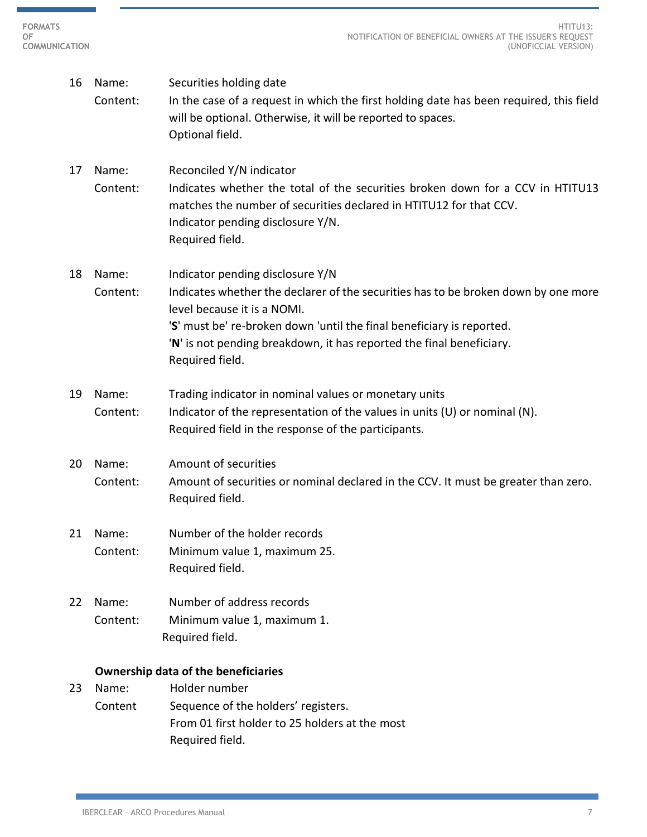- 16 Name: Securities holding date Content: In the case of a request in which the first holding date has been required, this field will be optional. Otherwise, it will be reported to spaces. Optional field. 17 Name: Reconciled Y/N indicator Content: Indicates whether the total of the securities broken down for a CCV in HTITU13 matches the number of securities declared in HTITU12 for that CCV. Indicator pending disclosure Y/N. Required field. 18 Name: Indicator pending disclosure Y/N Content: Indicates whether the declarer of the securities has to be broken down by one more level because it is a NOMI. '**S**' must be' re-broken down 'until the final beneficiary is reported. '**N**' is not pending breakdown, it has reported the final beneficiary. Required field. 19 Name: Trading indicator in nominal values or monetary units Content: Indicator of the representation of the values in units (U) or nominal (N). Required field in the response of the participants. 20 Name: Amount of securities Content: Amount of securities or nominal declared in the CCV. It must be greater than zero. Required field. 21 Name: Number of the holder records Content: Minimum value 1, maximum 25. Required field. 22 Name: Number of address records Content: Minimum value 1, maximum 1. Required field. **Ownership data of the beneficiaries**  23 Name: Holder number
	- Content Sequence of the holders' registers. From 01 first holder to 25 holders at the most Required field.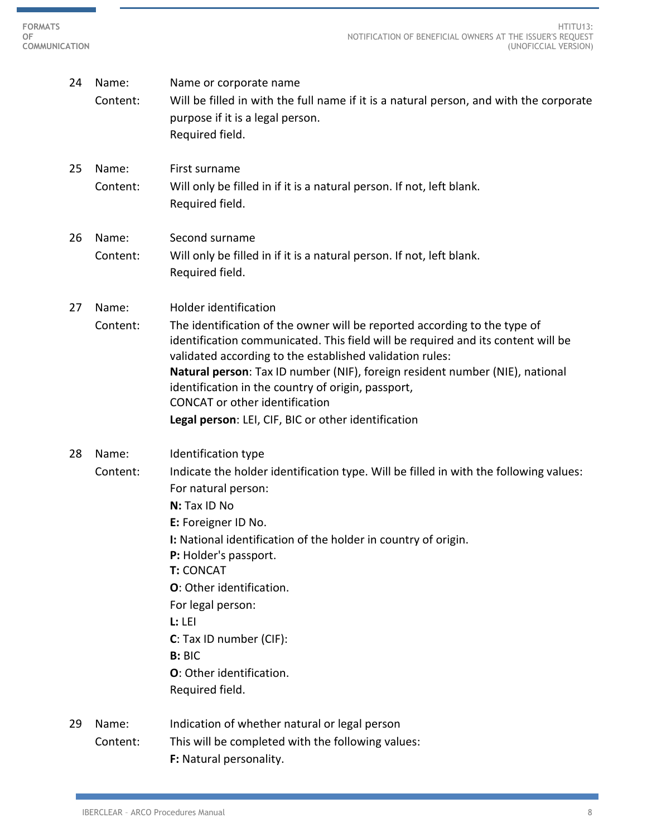r

 $\sim$ 

| 24 | Name:<br>Content: | Name or corporate name<br>Will be filled in with the full name if it is a natural person, and with the corporate<br>purpose if it is a legal person.<br>Required field.                                                                                                                                                                                                                                                                                                                  |
|----|-------------------|------------------------------------------------------------------------------------------------------------------------------------------------------------------------------------------------------------------------------------------------------------------------------------------------------------------------------------------------------------------------------------------------------------------------------------------------------------------------------------------|
| 25 | Name:<br>Content: | First surname<br>Will only be filled in if it is a natural person. If not, left blank.<br>Required field.                                                                                                                                                                                                                                                                                                                                                                                |
| 26 | Name:<br>Content: | Second surname<br>Will only be filled in if it is a natural person. If not, left blank.<br>Required field.                                                                                                                                                                                                                                                                                                                                                                               |
| 27 | Name:<br>Content: | Holder identification<br>The identification of the owner will be reported according to the type of<br>identification communicated. This field will be required and its content will be<br>validated according to the established validation rules:<br>Natural person: Tax ID number (NIF), foreign resident number (NIE), national<br>identification in the country of origin, passport,<br><b>CONCAT</b> or other identification<br>Legal person: LEI, CIF, BIC or other identification |
| 28 | Name:<br>Content: | Identification type<br>Indicate the holder identification type. Will be filled in with the following values:<br>For natural person:<br>N: Tax ID No<br>E: Foreigner ID No.<br>I: National identification of the holder in country of origin.<br>P: Holder's passport.<br><b>T: CONCAT</b><br>O: Other identification.<br>For legal person:<br>L: L E1<br>C: Tax ID number (CIF):<br><b>B: BIC</b><br>O: Other identification.<br>Required field.                                         |
| 29 | Name:<br>Content: | Indication of whether natural or legal person<br>This will be completed with the following values:<br>F: Natural personality.                                                                                                                                                                                                                                                                                                                                                            |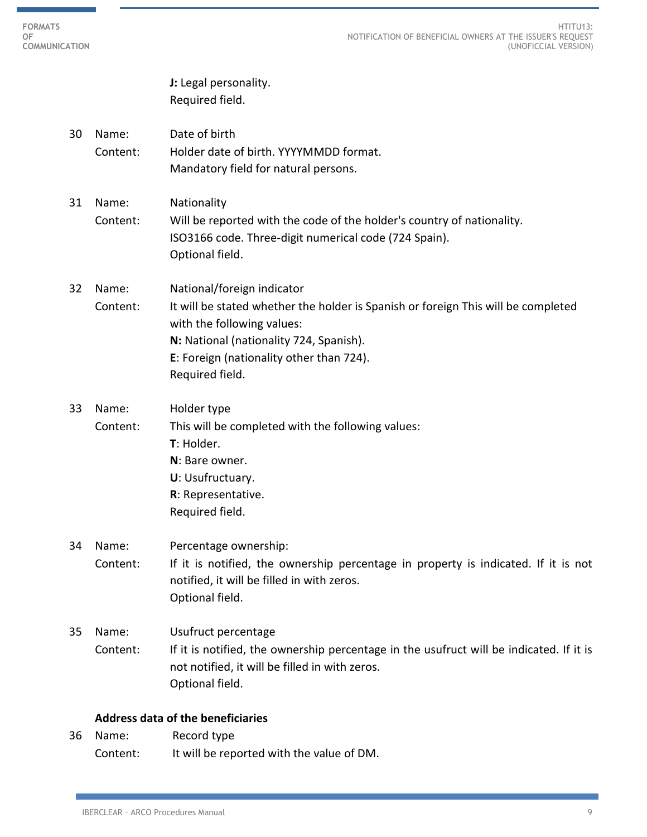**J:** Legal personality. Required field.

- 30 Name: Date of birth Content: Holder date of birth. YYYYMMDD format. Mandatory field for natural persons.
- 31 Name: Nationality Content: Will be reported with the code of the holder's country of nationality. ISO3166 code. Three-digit numerical code (724 Spain). Optional field.
- 32 Name: National/foreign indicator Content: It will be stated whether the holder is Spanish or foreign This will be completed with the following values: **N:** National (nationality 724, Spanish). **E**: Foreign (nationality other than 724). Required field.
- 33 Name: Holder type Content: This will be completed with the following values: **T**: Holder. **N**: Bare owner. **U**: Usufructuary. **R**: Representative. Required field.
- 34 Name: Percentage ownership: Content: If it is notified, the ownership percentage in property is indicated. If it is not notified, it will be filled in with zeros. Optional field.
- 35 Name: Usufruct percentage Content: If it is notified, the ownership percentage in the usufruct will be indicated. If it is not notified, it will be filled in with zeros. Optional field.

## **Address data of the beneficiaries**

36 Name: Record type Content: It will be reported with the value of DM.